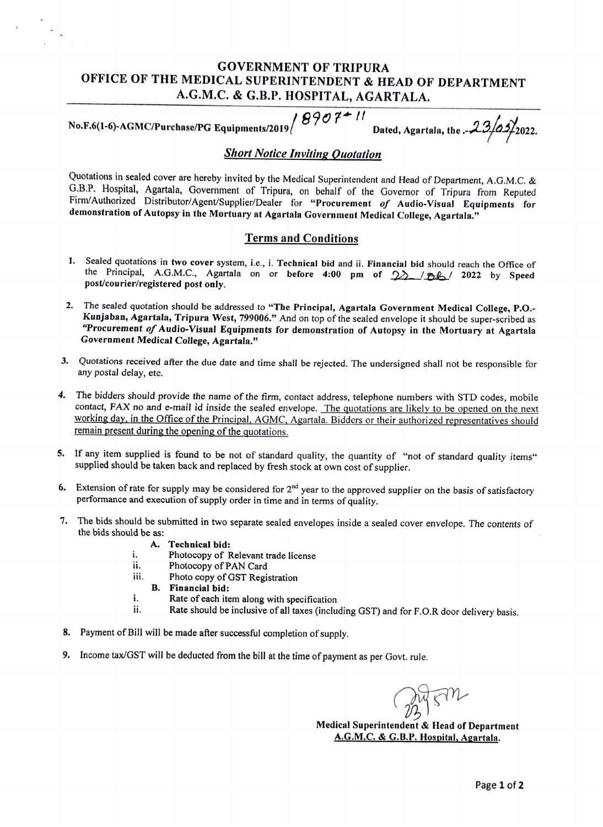## GOVERNMENT OF TRIPURA OFFICE OF THE MEDICAL SUPERINTENDENT & HEAD OF DEPARTMENT A.G.M.C. & G.B.P. HOSPITAL, AGARTALA.

No.F.6(1-6)-AGMC/Purchase/PG Equipments/2019  $\left( \begin{array}{cc} 0 & 0 & \cdots \\ 0 & 0 & 1 \end{array} \right)$  Dated, Agartala, the  $\frac{1}{2}$   $\frac{3}{4}$   $\frac{23}{2022}$ .

## **Short Notice Inviting Quotation**

Quotations in sealed cover are hereby invited by the Medical Superintendent and Head of Department, A.G.M.C. & G.B.P. Hospital, Agartala, Government of Tripura, on behalf of the Governor of Tripura from Reputed Firm/Authorized Distributor/Agent/Supplier/Dealer for "Procurement of Audio-Visual Equipments for demonstration of Autopsy in the Mortuary at Agartala Government Medical College, Agartala."

## Terms and Conditions

- 1. Sealed quotations in two cover system, i.e., i. Technical bid and ii. Financial bid should reach the Office of the Principal, A.G.M.C., Agartala on or before 4:00 pm of  $\frac{1}{2}$  /aL/2022 by Speed post/courier/registered post only.
- 2. The sealed quotation should be addressed to "The Principal, Agartala Government Medical College, P.O.-Kunjaban, Agartala, Tripura West, 799006." And on top of the sealed envelope it should be super-scribed as "Procurement of Audio-Visual Equipments for demonstration of Autopsy in the Mortuary at Agartala Government Medical College, Agartala."
- 3. Quotations received after the due date and time shall be rejected. The undersigned shall not be responsible for any postal delay, etc.
- 4. The bidders should provide the name of the firm, contact address, telephone numbers with STD codes, mobile contact, FAX no and e-mail id inside the sealed envelope. The quotations are likely to be opened on the next working day. in the Office of the Principal. AGMC, Agartala. Bidders or their authorized representatives should remain present during the opening of the quotations.
- 5. If any item supplied is found to be not of standard quality, the quantity of "not of standard quality items" supplied should be taken back and replaced by fresh stock at own cost of supplier.
- 6. Extension of rate for supply may be considered for  $2<sup>nd</sup>$  year to the approved supplier on the basis of satisfactory performance and execution of supply order in time and in terms of quality.
- 7. The bids should be submitted in two separate sealed envelopes inside a sealed cover envelope. The contents of the bids should be as:
	- A. Technical bid:
	- i. Photocopy of Relevant trade license
	- Photocopy of PAN Card ii.
	- Photo copy of GST Registration iii.
	- B. Financial bid:
	- i. Rate of each item along with specification
	- ii. Rate should be inclusive of all taxes (including GST) and for F.O.R door delivery basis.
- 8. Payment of Bill will be made after successful completion of supply.
- 9. Income tax/GST will be deducted from the bill at the time of payment as per Govt. rule.

Medical Superintendent & Head of Department A.G.M.C. & G.B.P. Hospital, Agartala.